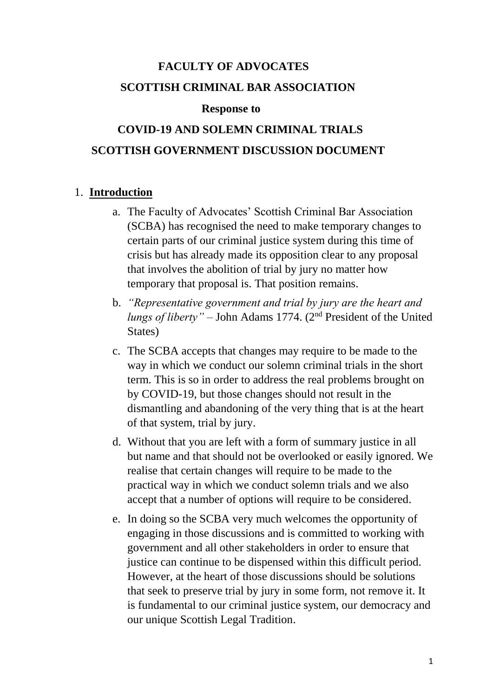# **FACULTY OF ADVOCATES SCOTTISH CRIMINAL BAR ASSOCIATION**

#### **Response to**

## **COVID-19 AND SOLEMN CRIMINAL TRIALS SCOTTISH GOVERNMENT DISCUSSION DOCUMENT**

## 1. **Introduction**

- a. The Faculty of Advocates' Scottish Criminal Bar Association (SCBA) has recognised the need to make temporary changes to certain parts of our criminal justice system during this time of crisis but has already made its opposition clear to any proposal that involves the abolition of trial by jury no matter how temporary that proposal is. That position remains.
- b. *"Representative government and trial by jury are the heart and lungs of liberty" –* John Adams 1774. (2nd President of the United States)
- c. The SCBA accepts that changes may require to be made to the way in which we conduct our solemn criminal trials in the short term. This is so in order to address the real problems brought on by COVID-19, but those changes should not result in the dismantling and abandoning of the very thing that is at the heart of that system, trial by jury.
- d. Without that you are left with a form of summary justice in all but name and that should not be overlooked or easily ignored. We realise that certain changes will require to be made to the practical way in which we conduct solemn trials and we also accept that a number of options will require to be considered.
- e. In doing so the SCBA very much welcomes the opportunity of engaging in those discussions and is committed to working with government and all other stakeholders in order to ensure that justice can continue to be dispensed within this difficult period. However, at the heart of those discussions should be solutions that seek to preserve trial by jury in some form, not remove it. It is fundamental to our criminal justice system, our democracy and our unique Scottish Legal Tradition.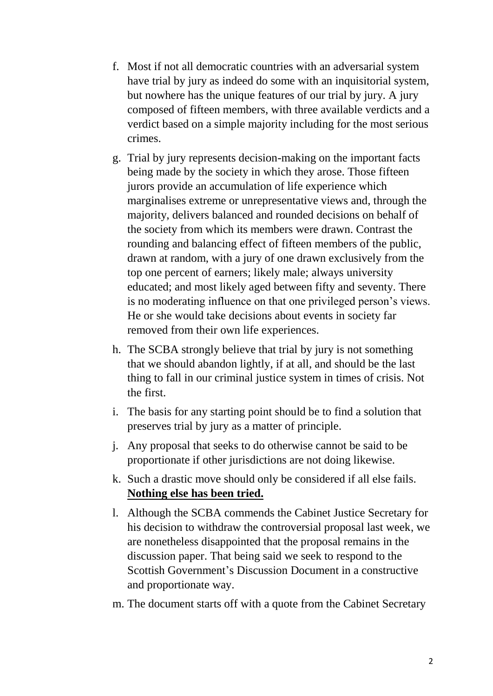- f. Most if not all democratic countries with an adversarial system have trial by jury as indeed do some with an inquisitorial system, but nowhere has the unique features of our trial by jury. A jury composed of fifteen members, with three available verdicts and a verdict based on a simple majority including for the most serious crimes.
- g. Trial by jury represents decision-making on the important facts being made by the society in which they arose. Those fifteen jurors provide an accumulation of life experience which marginalises extreme or unrepresentative views and, through the majority, delivers balanced and rounded decisions on behalf of the society from which its members were drawn. Contrast the rounding and balancing effect of fifteen members of the public, drawn at random, with a jury of one drawn exclusively from the top one percent of earners; likely male; always university educated; and most likely aged between fifty and seventy. There is no moderating influence on that one privileged person's views. He or she would take decisions about events in society far removed from their own life experiences.
- h. The SCBA strongly believe that trial by jury is not something that we should abandon lightly, if at all, and should be the last thing to fall in our criminal justice system in times of crisis. Not the first.
- i. The basis for any starting point should be to find a solution that preserves trial by jury as a matter of principle.
- j. Any proposal that seeks to do otherwise cannot be said to be proportionate if other jurisdictions are not doing likewise.
- k. Such a drastic move should only be considered if all else fails. **Nothing else has been tried.**
- l. Although the SCBA commends the Cabinet Justice Secretary for his decision to withdraw the controversial proposal last week, we are nonetheless disappointed that the proposal remains in the discussion paper. That being said we seek to respond to the Scottish Government's Discussion Document in a constructive and proportionate way.
- m. The document starts off with a quote from the Cabinet Secretary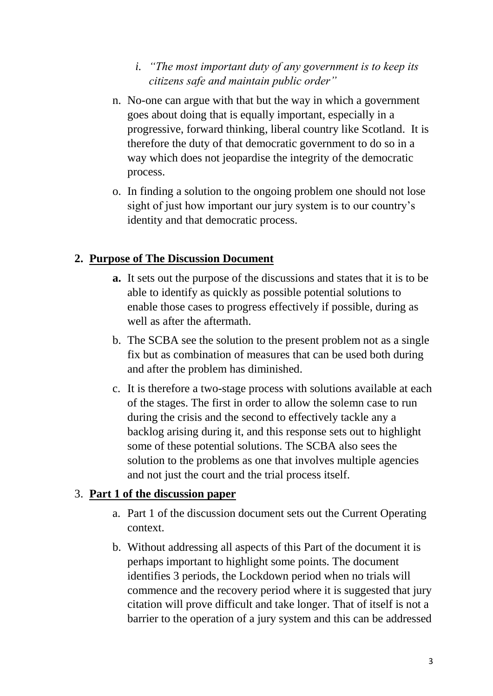- *i. "The most important duty of any government is to keep its citizens safe and maintain public order"*
- n. No-one can argue with that but the way in which a government goes about doing that is equally important, especially in a progressive, forward thinking, liberal country like Scotland. It is therefore the duty of that democratic government to do so in a way which does not jeopardise the integrity of the democratic process.
- o. In finding a solution to the ongoing problem one should not lose sight of just how important our jury system is to our country's identity and that democratic process.

## **2. Purpose of The Discussion Document**

- **a.** It sets out the purpose of the discussions and states that it is to be able to identify as quickly as possible potential solutions to enable those cases to progress effectively if possible, during as well as after the aftermath.
- b. The SCBA see the solution to the present problem not as a single fix but as combination of measures that can be used both during and after the problem has diminished.
- c. It is therefore a two-stage process with solutions available at each of the stages. The first in order to allow the solemn case to run during the crisis and the second to effectively tackle any a backlog arising during it, and this response sets out to highlight some of these potential solutions. The SCBA also sees the solution to the problems as one that involves multiple agencies and not just the court and the trial process itself.

## 3. **Part 1 of the discussion paper**

- a. Part 1 of the discussion document sets out the Current Operating context.
- b. Without addressing all aspects of this Part of the document it is perhaps important to highlight some points. The document identifies 3 periods, the Lockdown period when no trials will commence and the recovery period where it is suggested that jury citation will prove difficult and take longer. That of itself is not a barrier to the operation of a jury system and this can be addressed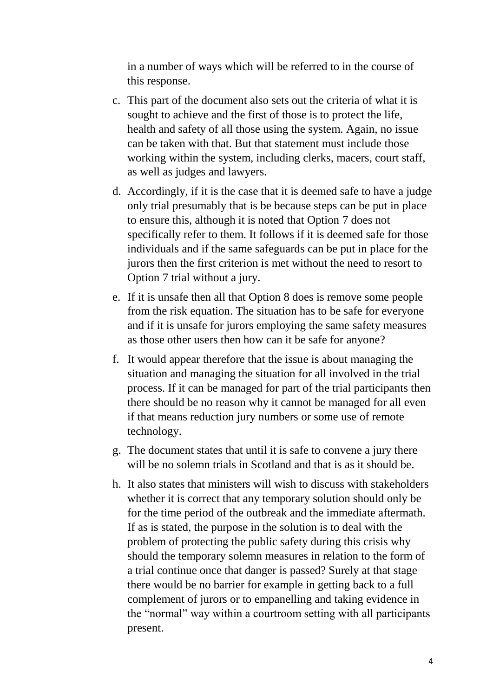in a number of ways which will be referred to in the course of this response.

- c. This part of the document also sets out the criteria of what it is sought to achieve and the first of those is to protect the life, health and safety of all those using the system. Again, no issue can be taken with that. But that statement must include those working within the system, including clerks, macers, court staff, as well as judges and lawyers.
- d. Accordingly, if it is the case that it is deemed safe to have a judge only trial presumably that is be because steps can be put in place to ensure this, although it is noted that Option 7 does not specifically refer to them. It follows if it is deemed safe for those individuals and if the same safeguards can be put in place for the jurors then the first criterion is met without the need to resort to Option 7 trial without a jury.
- e. If it is unsafe then all that Option 8 does is remove some people from the risk equation. The situation has to be safe for everyone and if it is unsafe for jurors employing the same safety measures as those other users then how can it be safe for anyone?
- f. It would appear therefore that the issue is about managing the situation and managing the situation for all involved in the trial process. If it can be managed for part of the trial participants then there should be no reason why it cannot be managed for all even if that means reduction jury numbers or some use of remote technology.
- g. The document states that until it is safe to convene a jury there will be no solemn trials in Scotland and that is as it should be.
- h. It also states that ministers will wish to discuss with stakeholders whether it is correct that any temporary solution should only be for the time period of the outbreak and the immediate aftermath. If as is stated, the purpose in the solution is to deal with the problem of protecting the public safety during this crisis why should the temporary solemn measures in relation to the form of a trial continue once that danger is passed? Surely at that stage there would be no barrier for example in getting back to a full complement of jurors or to empanelling and taking evidence in the "normal" way within a courtroom setting with all participants present.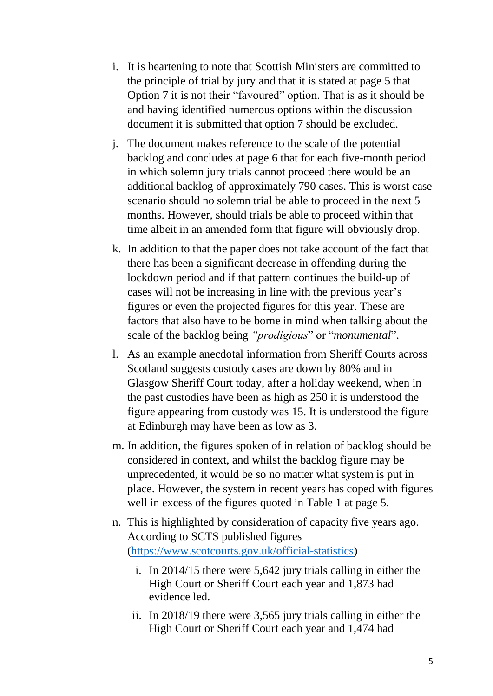- i. It is heartening to note that Scottish Ministers are committed to the principle of trial by jury and that it is stated at page 5 that Option 7 it is not their "favoured" option. That is as it should be and having identified numerous options within the discussion document it is submitted that option 7 should be excluded.
- j. The document makes reference to the scale of the potential backlog and concludes at page 6 that for each five-month period in which solemn jury trials cannot proceed there would be an additional backlog of approximately 790 cases. This is worst case scenario should no solemn trial be able to proceed in the next 5 months. However, should trials be able to proceed within that time albeit in an amended form that figure will obviously drop.
- k. In addition to that the paper does not take account of the fact that there has been a significant decrease in offending during the lockdown period and if that pattern continues the build-up of cases will not be increasing in line with the previous year's figures or even the projected figures for this year. These are factors that also have to be borne in mind when talking about the scale of the backlog being *"prodigious*" or "*monumental*".
- l. As an example anecdotal information from Sheriff Courts across Scotland suggests custody cases are down by 80% and in Glasgow Sheriff Court today, after a holiday weekend, when in the past custodies have been as high as 250 it is understood the figure appearing from custody was 15. It is understood the figure at Edinburgh may have been as low as 3.
- m. In addition, the figures spoken of in relation of backlog should be considered in context, and whilst the backlog figure may be unprecedented, it would be so no matter what system is put in place. However, the system in recent years has coped with figures well in excess of the figures quoted in Table 1 at page 5.
- n. This is highlighted by consideration of capacity five years ago. According to SCTS published figures [\(https://www.scotcourts.gov.uk/official-statistics\)](https://www.scotcourts.gov.uk/official-statistics)
	- i. In 2014/15 there were 5,642 jury trials calling in either the High Court or Sheriff Court each year and 1,873 had evidence led.
	- ii. In 2018/19 there were 3,565 jury trials calling in either the High Court or Sheriff Court each year and 1,474 had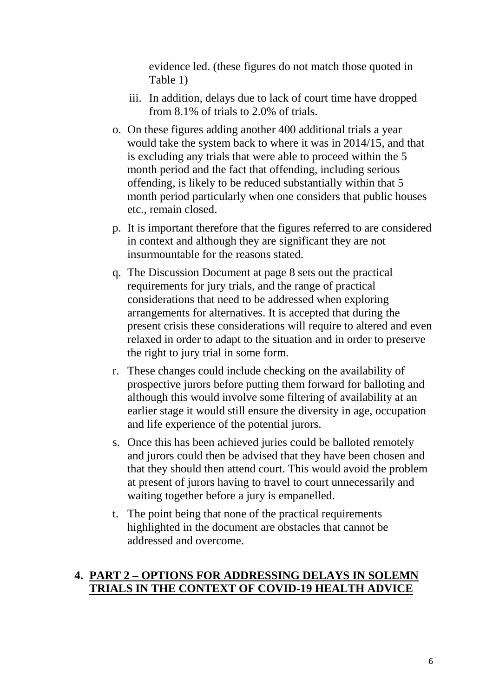evidence led. (these figures do not match those quoted in Table 1)

- iii. In addition, delays due to lack of court time have dropped from 8.1% of trials to 2.0% of trials.
- o. On these figures adding another 400 additional trials a year would take the system back to where it was in 2014/15, and that is excluding any trials that were able to proceed within the 5 month period and the fact that offending, including serious offending, is likely to be reduced substantially within that 5 month period particularly when one considers that public houses etc., remain closed.
- p. It is important therefore that the figures referred to are considered in context and although they are significant they are not insurmountable for the reasons stated.
- q. The Discussion Document at page 8 sets out the practical requirements for jury trials, and the range of practical considerations that need to be addressed when exploring arrangements for alternatives. It is accepted that during the present crisis these considerations will require to altered and even relaxed in order to adapt to the situation and in order to preserve the right to jury trial in some form.
- r. These changes could include checking on the availability of prospective jurors before putting them forward for balloting and although this would involve some filtering of availability at an earlier stage it would still ensure the diversity in age, occupation and life experience of the potential jurors.
- s. Once this has been achieved juries could be balloted remotely and jurors could then be advised that they have been chosen and that they should then attend court. This would avoid the problem at present of jurors having to travel to court unnecessarily and waiting together before a jury is empanelled.
- t. The point being that none of the practical requirements highlighted in the document are obstacles that cannot be addressed and overcome.

## **4. PART 2 – OPTIONS FOR ADDRESSING DELAYS IN SOLEMN TRIALS IN THE CONTEXT OF COVID-19 HEALTH ADVICE**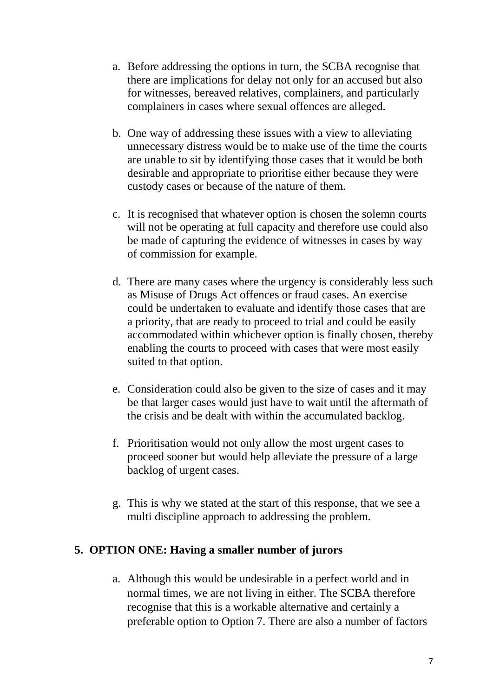- a. Before addressing the options in turn, the SCBA recognise that there are implications for delay not only for an accused but also for witnesses, bereaved relatives, complainers, and particularly complainers in cases where sexual offences are alleged.
- b. One way of addressing these issues with a view to alleviating unnecessary distress would be to make use of the time the courts are unable to sit by identifying those cases that it would be both desirable and appropriate to prioritise either because they were custody cases or because of the nature of them.
- c. It is recognised that whatever option is chosen the solemn courts will not be operating at full capacity and therefore use could also be made of capturing the evidence of witnesses in cases by way of commission for example.
- d. There are many cases where the urgency is considerably less such as Misuse of Drugs Act offences or fraud cases. An exercise could be undertaken to evaluate and identify those cases that are a priority, that are ready to proceed to trial and could be easily accommodated within whichever option is finally chosen, thereby enabling the courts to proceed with cases that were most easily suited to that option.
- e. Consideration could also be given to the size of cases and it may be that larger cases would just have to wait until the aftermath of the crisis and be dealt with within the accumulated backlog.
- f. Prioritisation would not only allow the most urgent cases to proceed sooner but would help alleviate the pressure of a large backlog of urgent cases.
- g. This is why we stated at the start of this response, that we see a multi discipline approach to addressing the problem.

#### **5. OPTION ONE: Having a smaller number of jurors**

a. Although this would be undesirable in a perfect world and in normal times, we are not living in either. The SCBA therefore recognise that this is a workable alternative and certainly a preferable option to Option 7. There are also a number of factors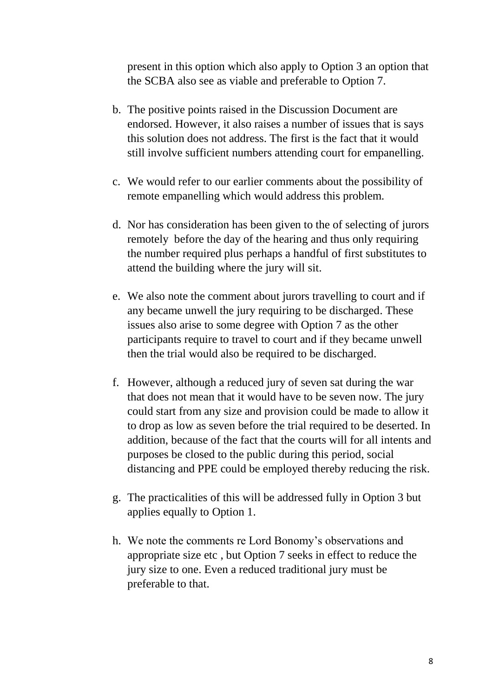present in this option which also apply to Option 3 an option that the SCBA also see as viable and preferable to Option 7.

- b. The positive points raised in the Discussion Document are endorsed. However, it also raises a number of issues that is says this solution does not address. The first is the fact that it would still involve sufficient numbers attending court for empanelling.
- c. We would refer to our earlier comments about the possibility of remote empanelling which would address this problem.
- d. Nor has consideration has been given to the of selecting of jurors remotely before the day of the hearing and thus only requiring the number required plus perhaps a handful of first substitutes to attend the building where the jury will sit.
- e. We also note the comment about jurors travelling to court and if any became unwell the jury requiring to be discharged. These issues also arise to some degree with Option 7 as the other participants require to travel to court and if they became unwell then the trial would also be required to be discharged.
- f. However, although a reduced jury of seven sat during the war that does not mean that it would have to be seven now. The jury could start from any size and provision could be made to allow it to drop as low as seven before the trial required to be deserted. In addition, because of the fact that the courts will for all intents and purposes be closed to the public during this period, social distancing and PPE could be employed thereby reducing the risk.
- g. The practicalities of this will be addressed fully in Option 3 but applies equally to Option 1.
- h. We note the comments re Lord Bonomy's observations and appropriate size etc , but Option 7 seeks in effect to reduce the jury size to one. Even a reduced traditional jury must be preferable to that.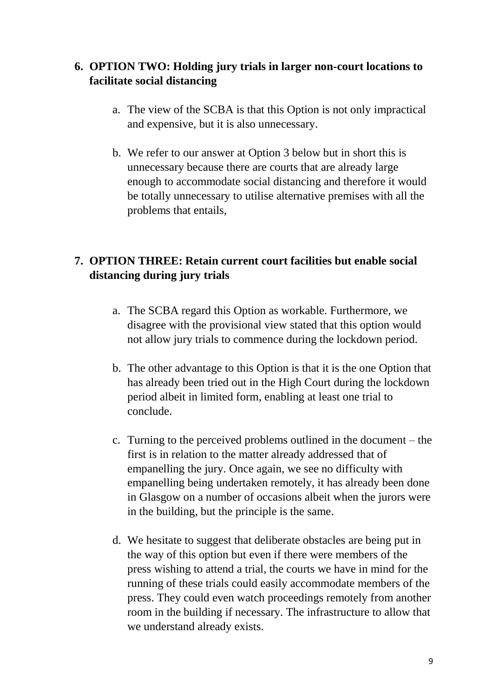## **6. OPTION TWO: Holding jury trials in larger non-court locations to facilitate social distancing**

- a. The view of the SCBA is that this Option is not only impractical and expensive, but it is also unnecessary.
- b. We refer to our answer at Option 3 below but in short this is unnecessary because there are courts that are already large enough to accommodate social distancing and therefore it would be totally unnecessary to utilise alternative premises with all the problems that entails,

## **7. OPTION THREE: Retain current court facilities but enable social distancing during jury trials**

- a. The SCBA regard this Option as workable. Furthermore, we disagree with the provisional view stated that this option would not allow jury trials to commence during the lockdown period.
- b. The other advantage to this Option is that it is the one Option that has already been tried out in the High Court during the lockdown period albeit in limited form, enabling at least one trial to conclude.
- c. Turning to the perceived problems outlined in the document the first is in relation to the matter already addressed that of empanelling the jury. Once again, we see no difficulty with empanelling being undertaken remotely, it has already been done in Glasgow on a number of occasions albeit when the jurors were in the building, but the principle is the same.
- d. We hesitate to suggest that deliberate obstacles are being put in the way of this option but even if there were members of the press wishing to attend a trial, the courts we have in mind for the running of these trials could easily accommodate members of the press. They could even watch proceedings remotely from another room in the building if necessary. The infrastructure to allow that we understand already exists.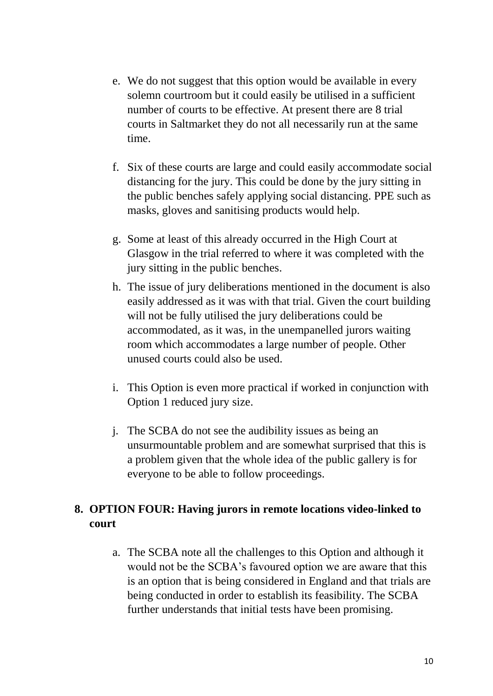- e. We do not suggest that this option would be available in every solemn courtroom but it could easily be utilised in a sufficient number of courts to be effective. At present there are 8 trial courts in Saltmarket they do not all necessarily run at the same time.
- f. Six of these courts are large and could easily accommodate social distancing for the jury. This could be done by the jury sitting in the public benches safely applying social distancing. PPE such as masks, gloves and sanitising products would help.
- g. Some at least of this already occurred in the High Court at Glasgow in the trial referred to where it was completed with the jury sitting in the public benches.
- h. The issue of jury deliberations mentioned in the document is also easily addressed as it was with that trial. Given the court building will not be fully utilised the jury deliberations could be accommodated, as it was, in the unempanelled jurors waiting room which accommodates a large number of people. Other unused courts could also be used.
- i. This Option is even more practical if worked in conjunction with Option 1 reduced jury size.
- j. The SCBA do not see the audibility issues as being an unsurmountable problem and are somewhat surprised that this is a problem given that the whole idea of the public gallery is for everyone to be able to follow proceedings.

## **8. OPTION FOUR: Having jurors in remote locations video-linked to court**

a. The SCBA note all the challenges to this Option and although it would not be the SCBA's favoured option we are aware that this is an option that is being considered in England and that trials are being conducted in order to establish its feasibility. The SCBA further understands that initial tests have been promising.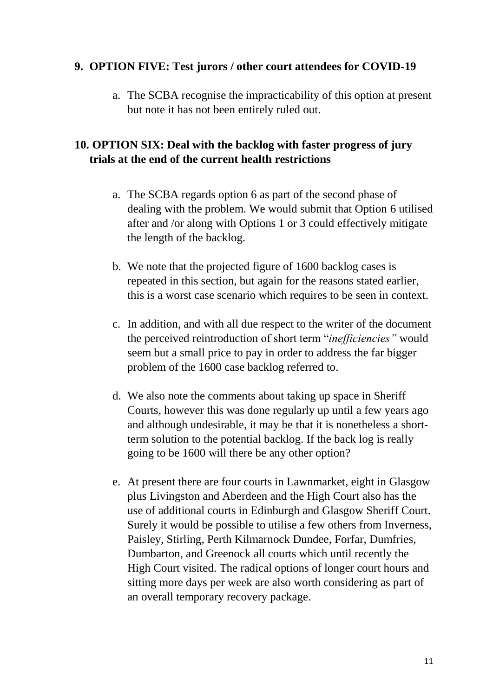#### **9. OPTION FIVE: Test jurors / other court attendees for COVID-19**

a. The SCBA recognise the impracticability of this option at present but note it has not been entirely ruled out.

## **10. OPTION SIX: Deal with the backlog with faster progress of jury trials at the end of the current health restrictions**

- a. The SCBA regards option 6 as part of the second phase of dealing with the problem. We would submit that Option 6 utilised after and /or along with Options 1 or 3 could effectively mitigate the length of the backlog.
- b. We note that the projected figure of 1600 backlog cases is repeated in this section, but again for the reasons stated earlier, this is a worst case scenario which requires to be seen in context.
- c. In addition, and with all due respect to the writer of the document the perceived reintroduction of short term "*inefficiencies"* would seem but a small price to pay in order to address the far bigger problem of the 1600 case backlog referred to.
- d. We also note the comments about taking up space in Sheriff Courts, however this was done regularly up until a few years ago and although undesirable, it may be that it is nonetheless a shortterm solution to the potential backlog. If the back log is really going to be 1600 will there be any other option?
- e. At present there are four courts in Lawnmarket, eight in Glasgow plus Livingston and Aberdeen and the High Court also has the use of additional courts in Edinburgh and Glasgow Sheriff Court. Surely it would be possible to utilise a few others from Inverness, Paisley, Stirling, Perth Kilmarnock Dundee, Forfar, Dumfries, Dumbarton, and Greenock all courts which until recently the High Court visited. The radical options of longer court hours and sitting more days per week are also worth considering as part of an overall temporary recovery package.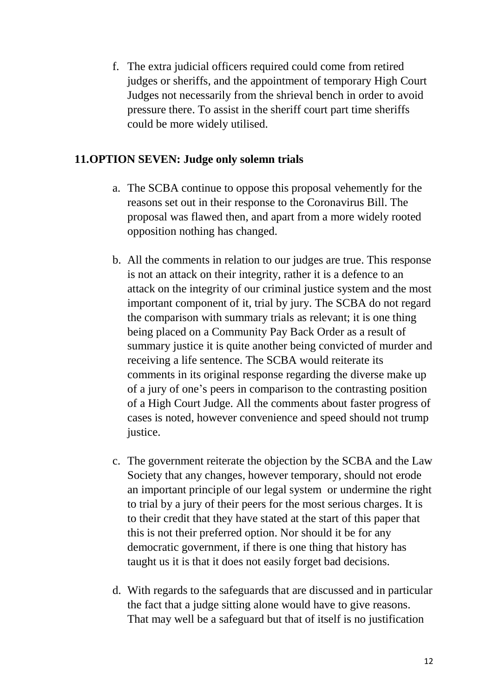f. The extra judicial officers required could come from retired judges or sheriffs, and the appointment of temporary High Court Judges not necessarily from the shrieval bench in order to avoid pressure there. To assist in the sheriff court part time sheriffs could be more widely utilised.

#### **11.OPTION SEVEN: Judge only solemn trials**

- a. The SCBA continue to oppose this proposal vehemently for the reasons set out in their response to the Coronavirus Bill. The proposal was flawed then, and apart from a more widely rooted opposition nothing has changed.
- b. All the comments in relation to our judges are true. This response is not an attack on their integrity, rather it is a defence to an attack on the integrity of our criminal justice system and the most important component of it, trial by jury. The SCBA do not regard the comparison with summary trials as relevant; it is one thing being placed on a Community Pay Back Order as a result of summary justice it is quite another being convicted of murder and receiving a life sentence. The SCBA would reiterate its comments in its original response regarding the diverse make up of a jury of one's peers in comparison to the contrasting position of a High Court Judge. All the comments about faster progress of cases is noted, however convenience and speed should not trump justice.
- c. The government reiterate the objection by the SCBA and the Law Society that any changes, however temporary, should not erode an important principle of our legal system or undermine the right to trial by a jury of their peers for the most serious charges. It is to their credit that they have stated at the start of this paper that this is not their preferred option. Nor should it be for any democratic government, if there is one thing that history has taught us it is that it does not easily forget bad decisions.
- d. With regards to the safeguards that are discussed and in particular the fact that a judge sitting alone would have to give reasons. That may well be a safeguard but that of itself is no justification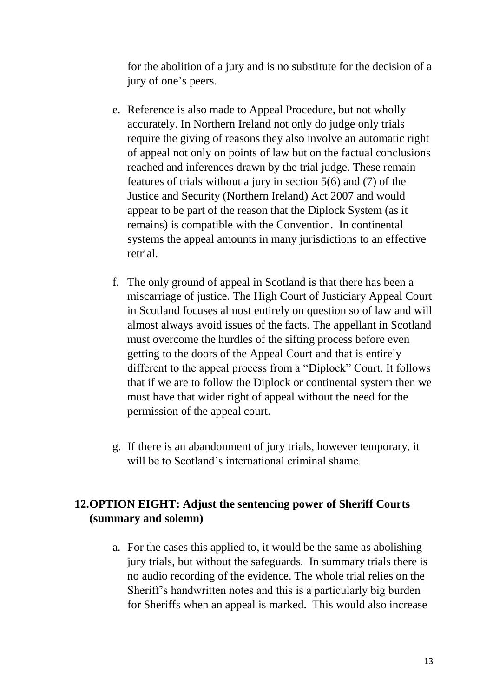for the abolition of a jury and is no substitute for the decision of a jury of one's peers.

- e. Reference is also made to Appeal Procedure, but not wholly accurately. In Northern Ireland not only do judge only trials require the giving of reasons they also involve an automatic right of appeal not only on points of law but on the factual conclusions reached and inferences drawn by the trial judge. These remain features of trials without a jury in section 5(6) and (7) of the Justice and Security (Northern Ireland) Act 2007 and would appear to be part of the reason that the Diplock System (as it remains) is compatible with the Convention. In continental systems the appeal amounts in many jurisdictions to an effective retrial.
- f. The only ground of appeal in Scotland is that there has been a miscarriage of justice. The High Court of Justiciary Appeal Court in Scotland focuses almost entirely on question so of law and will almost always avoid issues of the facts. The appellant in Scotland must overcome the hurdles of the sifting process before even getting to the doors of the Appeal Court and that is entirely different to the appeal process from a "Diplock" Court. It follows that if we are to follow the Diplock or continental system then we must have that wider right of appeal without the need for the permission of the appeal court.
- g. If there is an abandonment of jury trials, however temporary, it will be to Scotland's international criminal shame.

## **12.OPTION EIGHT: Adjust the sentencing power of Sheriff Courts (summary and solemn)**

a. For the cases this applied to, it would be the same as abolishing jury trials, but without the safeguards. In summary trials there is no audio recording of the evidence. The whole trial relies on the Sheriff's handwritten notes and this is a particularly big burden for Sheriffs when an appeal is marked. This would also increase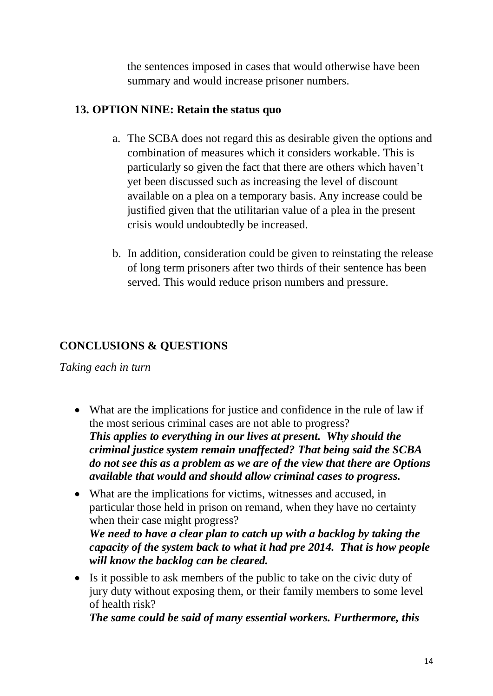the sentences imposed in cases that would otherwise have been summary and would increase prisoner numbers.

#### **13. OPTION NINE: Retain the status quo**

- a. The SCBA does not regard this as desirable given the options and combination of measures which it considers workable. This is particularly so given the fact that there are others which haven't yet been discussed such as increasing the level of discount available on a plea on a temporary basis. Any increase could be justified given that the utilitarian value of a plea in the present crisis would undoubtedly be increased.
- b. In addition, consideration could be given to reinstating the release of long term prisoners after two thirds of their sentence has been served. This would reduce prison numbers and pressure.

## **CONCLUSIONS & QUESTIONS**

*Taking each in turn*

- What are the implications for justice and confidence in the rule of law if the most serious criminal cases are not able to progress? *This applies to everything in our lives at present. Why should the criminal justice system remain unaffected? That being said the SCBA do not see this as a problem as we are of the view that there are Options available that would and should allow criminal cases to progress.*
- What are the implications for victims, witnesses and accused, in particular those held in prison on remand, when they have no certainty when their case might progress? *We need to have a clear plan to catch up with a backlog by taking the capacity of the system back to what it had pre 2014. That is how people will know the backlog can be cleared.*
- Is it possible to ask members of the public to take on the civic duty of jury duty without exposing them, or their family members to some level of health risk?

*The same could be said of many essential workers. Furthermore, this*